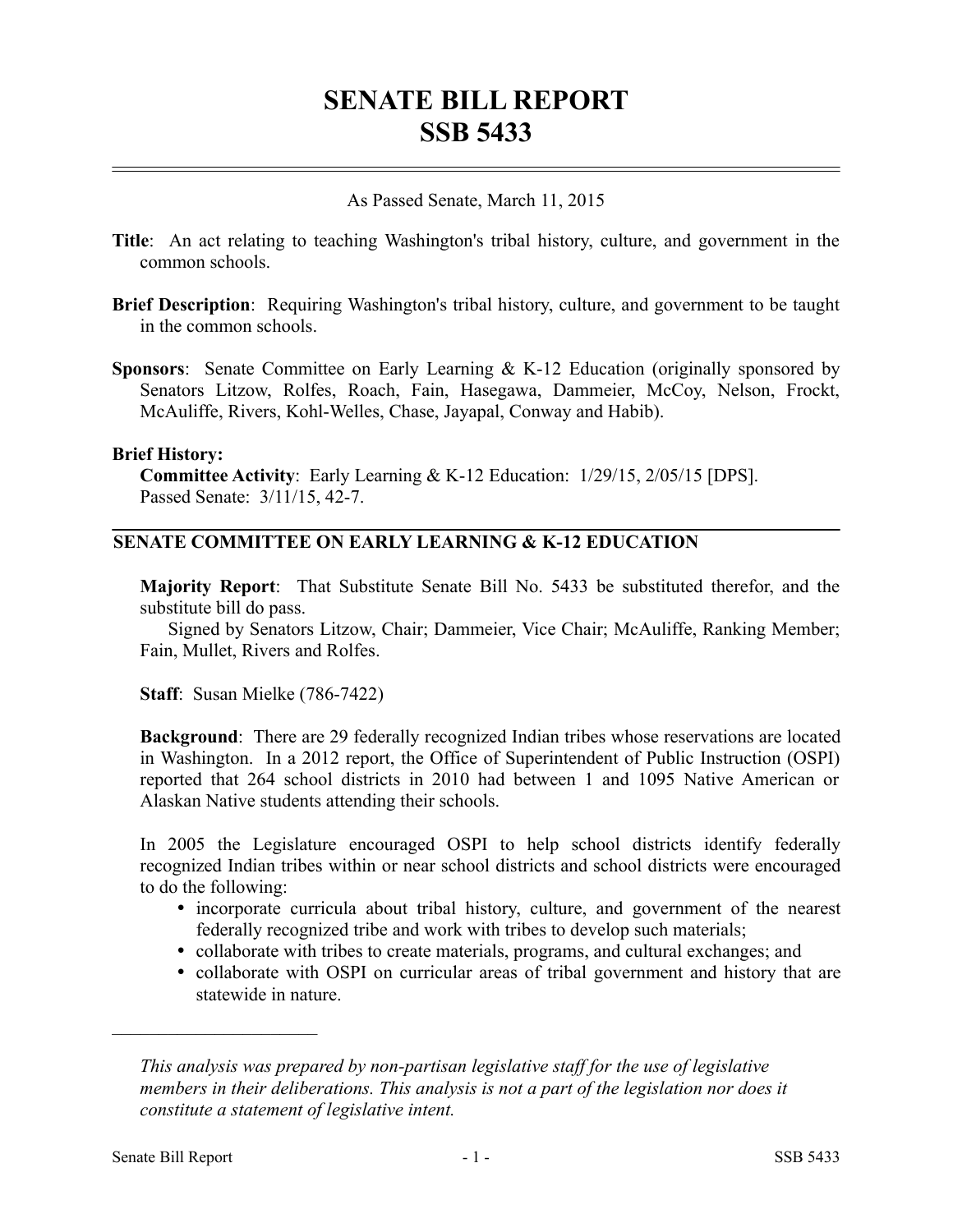# **SENATE BILL REPORT SSB 5433**

#### As Passed Senate, March 11, 2015

- **Title**: An act relating to teaching Washington's tribal history, culture, and government in the common schools.
- **Brief Description**: Requiring Washington's tribal history, culture, and government to be taught in the common schools.
- **Sponsors**: Senate Committee on Early Learning & K-12 Education (originally sponsored by Senators Litzow, Rolfes, Roach, Fain, Hasegawa, Dammeier, McCoy, Nelson, Frockt, McAuliffe, Rivers, Kohl-Welles, Chase, Jayapal, Conway and Habib).

#### **Brief History:**

**Committee Activity**: Early Learning & K-12 Education: 1/29/15, 2/05/15 [DPS]. Passed Senate: 3/11/15, 42-7.

### **SENATE COMMITTEE ON EARLY LEARNING & K-12 EDUCATION**

**Majority Report**: That Substitute Senate Bill No. 5433 be substituted therefor, and the substitute bill do pass.

Signed by Senators Litzow, Chair; Dammeier, Vice Chair; McAuliffe, Ranking Member; Fain, Mullet, Rivers and Rolfes.

**Staff**: Susan Mielke (786-7422)

**Background**: There are 29 federally recognized Indian tribes whose reservations are located in Washington. In a 2012 report, the Office of Superintendent of Public Instruction (OSPI) reported that 264 school districts in 2010 had between 1 and 1095 Native American or Alaskan Native students attending their schools.

In 2005 the Legislature encouraged OSPI to help school districts identify federally recognized Indian tribes within or near school districts and school districts were encouraged to do the following:

- incorporate curricula about tribal history, culture, and government of the nearest federally recognized tribe and work with tribes to develop such materials;
- collaborate with tribes to create materials, programs, and cultural exchanges; and
- collaborate with OSPI on curricular areas of tribal government and history that are statewide in nature.

––––––––––––––––––––––

*This analysis was prepared by non-partisan legislative staff for the use of legislative members in their deliberations. This analysis is not a part of the legislation nor does it constitute a statement of legislative intent.*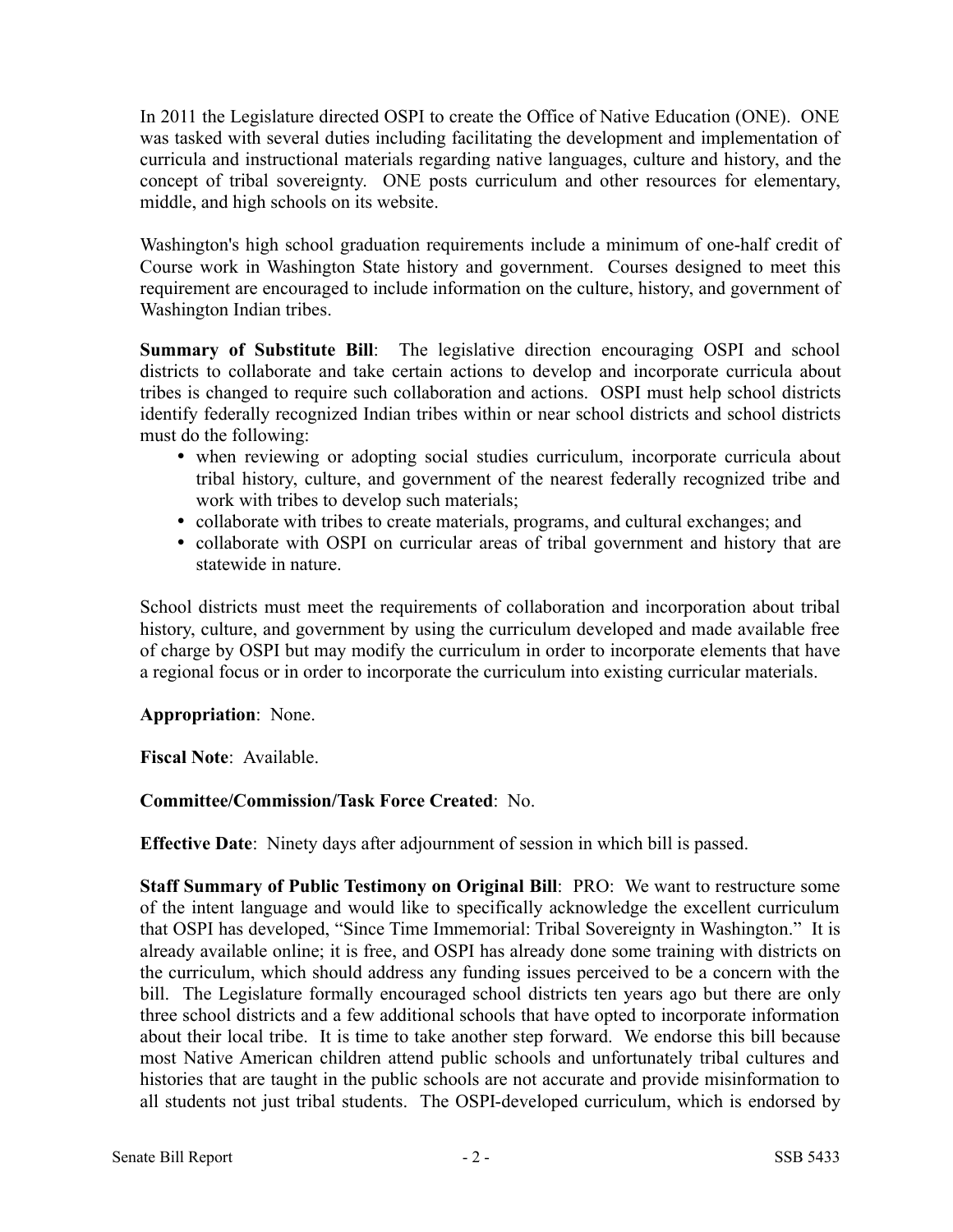In 2011 the Legislature directed OSPI to create the Office of Native Education (ONE). ONE was tasked with several duties including facilitating the development and implementation of curricula and instructional materials regarding native languages, culture and history, and the concept of tribal sovereignty. ONE posts curriculum and other resources for elementary, middle, and high schools on its website.

Washington's high school graduation requirements include a minimum of one-half credit of Course work in Washington State history and government. Courses designed to meet this requirement are encouraged to include information on the culture, history, and government of Washington Indian tribes.

**Summary of Substitute Bill**: The legislative direction encouraging OSPI and school districts to collaborate and take certain actions to develop and incorporate curricula about tribes is changed to require such collaboration and actions. OSPI must help school districts identify federally recognized Indian tribes within or near school districts and school districts must do the following:

- when reviewing or adopting social studies curriculum, incorporate curricula about tribal history, culture, and government of the nearest federally recognized tribe and work with tribes to develop such materials;
- collaborate with tribes to create materials, programs, and cultural exchanges; and
- collaborate with OSPI on curricular areas of tribal government and history that are statewide in nature.

School districts must meet the requirements of collaboration and incorporation about tribal history, culture, and government by using the curriculum developed and made available free of charge by OSPI but may modify the curriculum in order to incorporate elements that have a regional focus or in order to incorporate the curriculum into existing curricular materials.

### **Appropriation**: None.

**Fiscal Note**: Available.

## **Committee/Commission/Task Force Created**: No.

**Effective Date**: Ninety days after adjournment of session in which bill is passed.

**Staff Summary of Public Testimony on Original Bill**: PRO: We want to restructure some of the intent language and would like to specifically acknowledge the excellent curriculum that OSPI has developed, "Since Time Immemorial: Tribal Sovereignty in Washington." It is already available online; it is free, and OSPI has already done some training with districts on the curriculum, which should address any funding issues perceived to be a concern with the bill. The Legislature formally encouraged school districts ten years ago but there are only three school districts and a few additional schools that have opted to incorporate information about their local tribe. It is time to take another step forward. We endorse this bill because most Native American children attend public schools and unfortunately tribal cultures and histories that are taught in the public schools are not accurate and provide misinformation to all students not just tribal students. The OSPI-developed curriculum, which is endorsed by